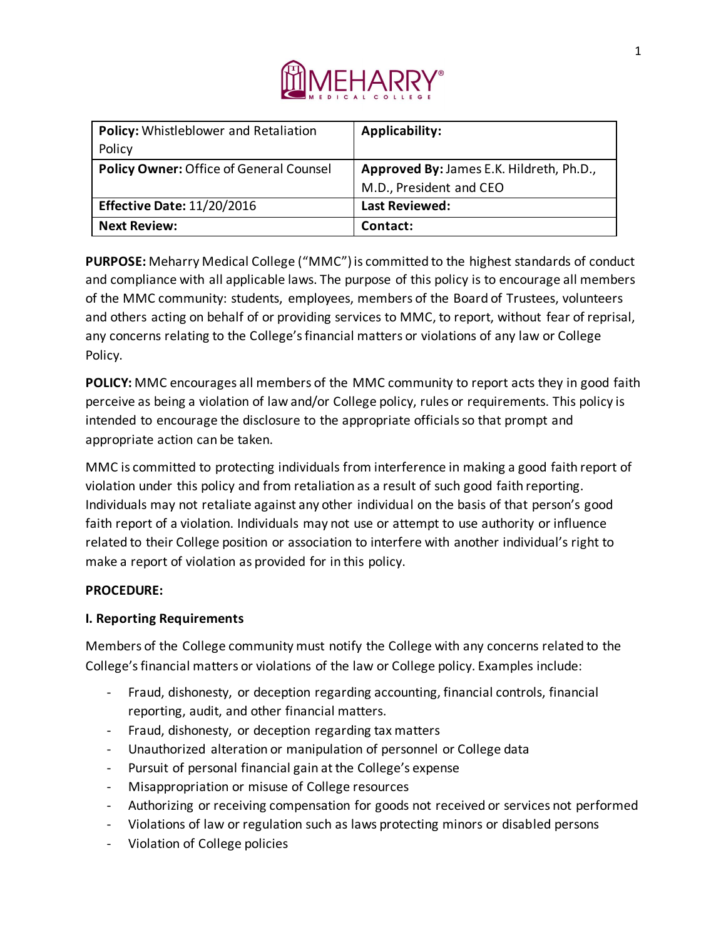

| Policy: Whistleblower and Retaliation   | <b>Applicability:</b>                    |
|-----------------------------------------|------------------------------------------|
| Policy                                  |                                          |
| Policy Owner: Office of General Counsel | Approved By: James E.K. Hildreth, Ph.D., |
|                                         | M.D., President and CEO                  |
| <b>Effective Date: 11/20/2016</b>       | <b>Last Reviewed:</b>                    |
| <b>Next Review:</b>                     | Contact:                                 |

**PURPOSE:** Meharry Medical College ("MMC") is committed to the highest standards of conduct and compliance with all applicable laws. The purpose of this policy is to encourage all members of the MMC community: students, employees, members of the Board of Trustees, volunteers and others acting on behalf of or providing services to MMC, to report, without fear of reprisal, any concerns relating to the College's financial matters or violations of any law or College Policy.

**POLICY:** MMC encourages all members of the MMC community to report acts they in good faith perceive as being a violation of law and/or College policy, rules or requirements. This policy is intended to encourage the disclosure to the appropriate officials so that prompt and appropriate action can be taken.

MMC is committed to protecting individuals from interference in making a good faith report of violation under this policy and from retaliation as a result of such good faith reporting. Individuals may not retaliate against any other individual on the basis of that person's good faith report of a violation. Individuals may not use or attempt to use authority or influence related to their College position or association to interfere with another individual's right to make a report of violation as provided for in this policy.

# **PROCEDURE:**

# **I. Reporting Requirements**

Members of the College community must notify the College with any concerns related to the College's financial matters or violations of the law or College policy. Examples include:

- Fraud, dishonesty, or deception regarding accounting, financial controls, financial reporting, audit, and other financial matters.
- Fraud, dishonesty, or deception regarding tax matters
- Unauthorized alteration or manipulation of personnel or College data
- Pursuit of personal financial gain at the College's expense
- Misappropriation or misuse of College resources
- Authorizing or receiving compensation for goods not received or services not performed
- Violations of law or regulation such as laws protecting minors or disabled persons
- Violation of College policies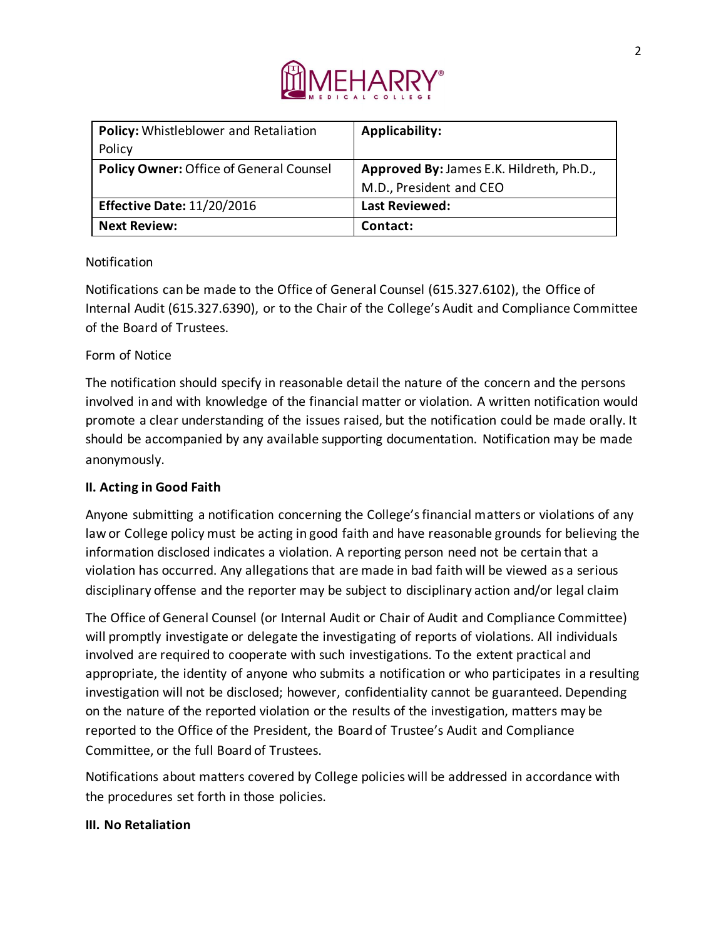

| Policy: Whistleblower and Retaliation          | <b>Applicability:</b>                    |
|------------------------------------------------|------------------------------------------|
| Policy                                         |                                          |
| <b>Policy Owner: Office of General Counsel</b> | Approved By: James E.K. Hildreth, Ph.D., |
|                                                | M.D., President and CEO                  |
| <b>Effective Date: 11/20/2016</b>              | <b>Last Reviewed:</b>                    |
| <b>Next Review:</b>                            | Contact:                                 |

# Notification

Notifications can be made to the Office of General Counsel (615.327.6102), the Office of Internal Audit (615.327.6390), or to the Chair of the College's Audit and Compliance Committee of the Board of Trustees.

# Form of Notice

The notification should specify in reasonable detail the nature of the concern and the persons involved in and with knowledge of the financial matter or violation. A written notification would promote a clear understanding of the issues raised, but the notification could be made orally. It should be accompanied by any available supporting documentation. Notification may be made anonymously.

# **II. Acting in Good Faith**

Anyone submitting a notification concerning the College's financial matters or violations of any law or College policy must be acting in good faith and have reasonable grounds for believing the information disclosed indicates a violation. A reporting person need not be certain that a violation has occurred. Any allegations that are made in bad faith will be viewed as a serious disciplinary offense and the reporter may be subject to disciplinary action and/or legal claim

The Office of General Counsel (or Internal Audit or Chair of Audit and Compliance Committee) will promptly investigate or delegate the investigating of reports of violations. All individuals involved are required to cooperate with such investigations. To the extent practical and appropriate, the identity of anyone who submits a notification or who participates in a resulting investigation will not be disclosed; however, confidentiality cannot be guaranteed. Depending on the nature of the reported violation or the results of the investigation, matters may be reported to the Office of the President, the Board of Trustee's Audit and Compliance Committee, or the full Board of Trustees.

Notifications about matters covered by College policies will be addressed in accordance with the procedures set forth in those policies.

# **III. No Retaliation**